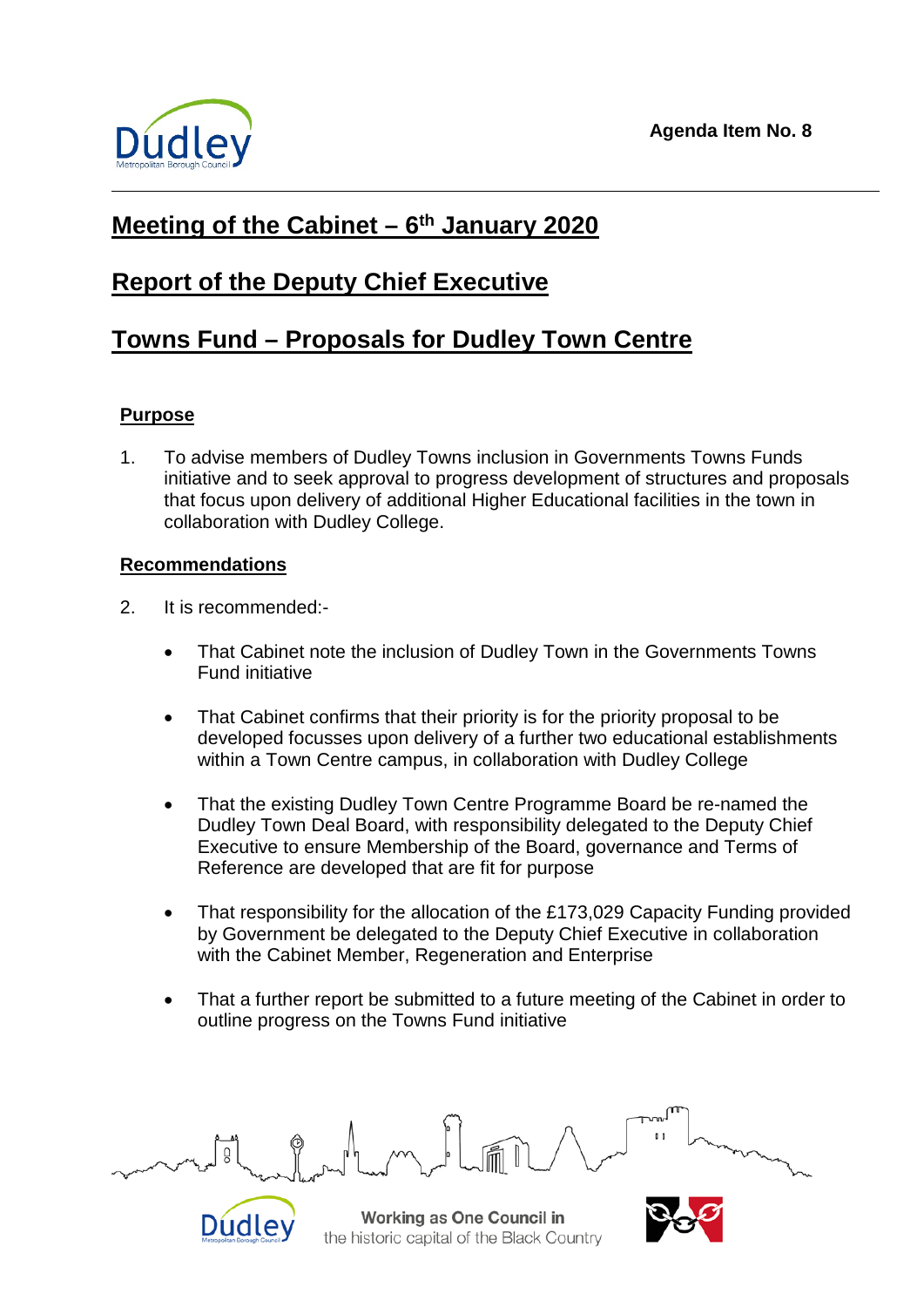

# **Meeting of the Cabinet – 6th January 2020**

## **Report of the Deputy Chief Executive**

# **Towns Fund – Proposals for Dudley Town Centre**

### **Purpose**

1. To advise members of Dudley Towns inclusion in Governments Towns Funds initiative and to seek approval to progress development of structures and proposals that focus upon delivery of additional Higher Educational facilities in the town in collaboration with Dudley College.

#### **Recommendations**

2. It is recommended:-

Dudley

- That Cabinet note the inclusion of Dudley Town in the Governments Towns Fund initiative
- That Cabinet confirms that their priority is for the priority proposal to be developed focusses upon delivery of a further two educational establishments within a Town Centre campus, in collaboration with Dudley College
- That the existing Dudley Town Centre Programme Board be re-named the Dudley Town Deal Board, with responsibility delegated to the Deputy Chief Executive to ensure Membership of the Board, governance and Terms of Reference are developed that are fit for purpose
- That responsibility for the allocation of the £173,029 Capacity Funding provided by Government be delegated to the Deputy Chief Executive in collaboration with the Cabinet Member, Regeneration and Enterprise
- That a further report be submitted to a future meeting of the Cabinet in order to outline progress on the Towns Fund initiative

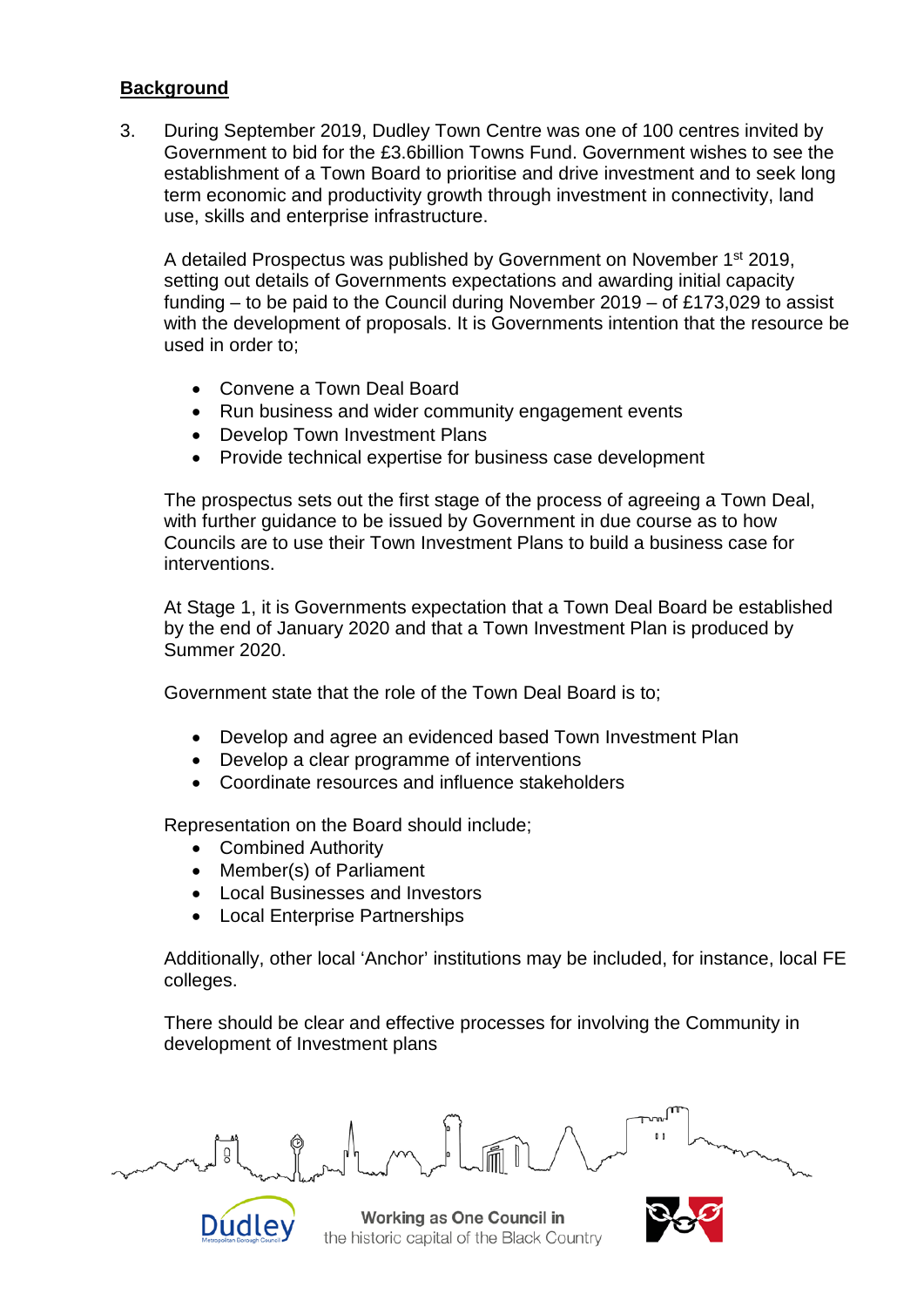#### **Background**

3. During September 2019, Dudley Town Centre was one of 100 centres invited by Government to bid for the £3.6billion Towns Fund. Government wishes to see the establishment of a Town Board to prioritise and drive investment and to seek long term economic and productivity growth through investment in connectivity, land use, skills and enterprise infrastructure.

A detailed Prospectus was published by Government on November 1st 2019, setting out details of Governments expectations and awarding initial capacity funding – to be paid to the Council during November 2019 – of £173,029 to assist with the development of proposals. It is Governments intention that the resource be used in order to;

- Convene a Town Deal Board
- Run business and wider community engagement events
- Develop Town Investment Plans
- Provide technical expertise for business case development

The prospectus sets out the first stage of the process of agreeing a Town Deal, with further guidance to be issued by Government in due course as to how Councils are to use their Town Investment Plans to build a business case for interventions.

At Stage 1, it is Governments expectation that a Town Deal Board be established by the end of January 2020 and that a Town Investment Plan is produced by Summer 2020.

Government state that the role of the Town Deal Board is to;

- Develop and agree an evidenced based Town Investment Plan
- Develop a clear programme of interventions
- Coordinate resources and influence stakeholders

Representation on the Board should include;

- Combined Authority
- Member(s) of Parliament
- Local Businesses and Investors
- Local Enterprise Partnerships

Additionally, other local 'Anchor' institutions may be included, for instance, local FE colleges.

There should be clear and effective processes for involving the Community in development of Investment plans



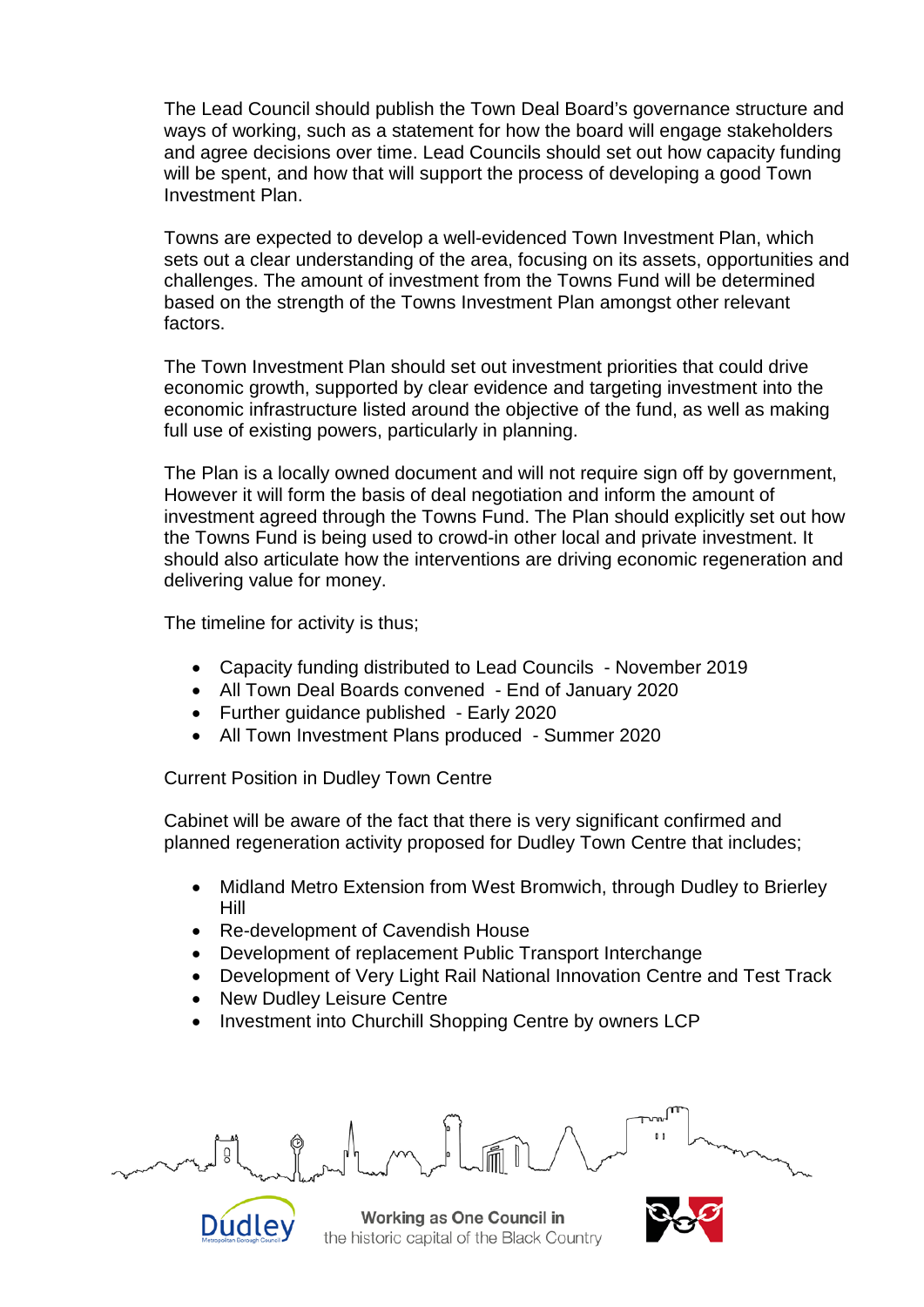The Lead Council should publish the Town Deal Board's governance structure and ways of working, such as a statement for how the board will engage stakeholders and agree decisions over time. Lead Councils should set out how capacity funding will be spent, and how that will support the process of developing a good Town Investment Plan.

Towns are expected to develop a well-evidenced Town Investment Plan, which sets out a clear understanding of the area, focusing on its assets, opportunities and challenges. The amount of investment from the Towns Fund will be determined based on the strength of the Towns Investment Plan amongst other relevant factors.

The Town Investment Plan should set out investment priorities that could drive economic growth, supported by clear evidence and targeting investment into the economic infrastructure listed around the objective of the fund, as well as making full use of existing powers, particularly in planning.

The Plan is a locally owned document and will not require sign off by government, However it will form the basis of deal negotiation and inform the amount of investment agreed through the Towns Fund. The Plan should explicitly set out how the Towns Fund is being used to crowd-in other local and private investment. It should also articulate how the interventions are driving economic regeneration and delivering value for money.

The timeline for activity is thus;

- Capacity funding distributed to Lead Councils November 2019
- All Town Deal Boards convened End of January 2020
- Further guidance published Early 2020
- All Town Investment Plans produced Summer 2020

Current Position in Dudley Town Centre

Cabinet will be aware of the fact that there is very significant confirmed and planned regeneration activity proposed for Dudley Town Centre that includes;

- Midland Metro Extension from West Bromwich, through Dudley to Brierley Hill
- Re-development of Cavendish House
- Development of replacement Public Transport Interchange
- Development of Very Light Rail National Innovation Centre and Test Track
- New Dudley Leisure Centre

Dudley

Investment into Churchill Shopping Centre by owners LCP

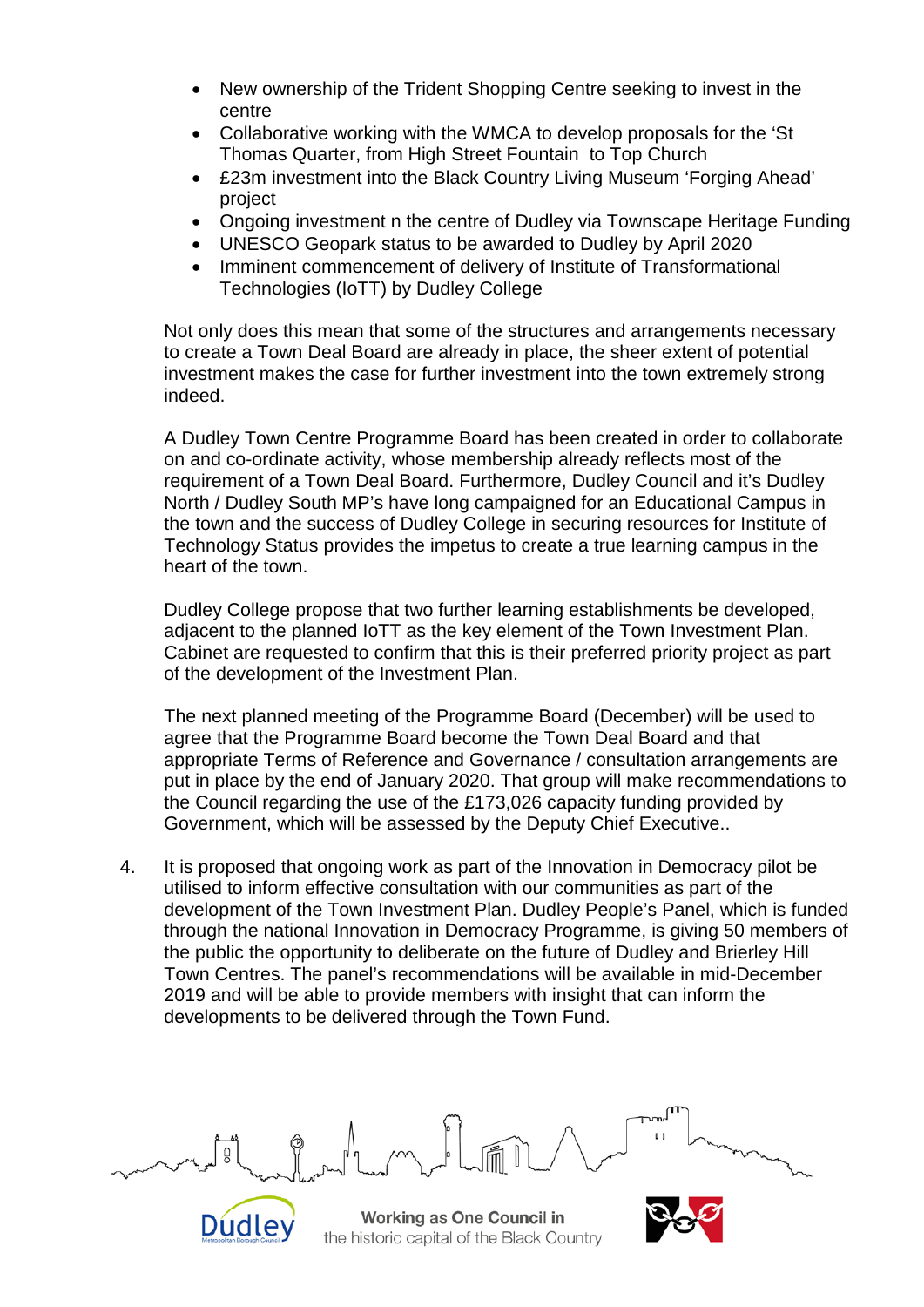- New ownership of the Trident Shopping Centre seeking to invest in the centre
- Collaborative working with the WMCA to develop proposals for the 'St Thomas Quarter, from High Street Fountain to Top Church
- £23m investment into the Black Country Living Museum 'Forging Ahead' project
- Ongoing investment n the centre of Dudley via Townscape Heritage Funding
- UNESCO Geopark status to be awarded to Dudley by April 2020
- Imminent commencement of delivery of Institute of Transformational Technologies (IoTT) by Dudley College

Not only does this mean that some of the structures and arrangements necessary to create a Town Deal Board are already in place, the sheer extent of potential investment makes the case for further investment into the town extremely strong indeed.

A Dudley Town Centre Programme Board has been created in order to collaborate on and co-ordinate activity, whose membership already reflects most of the requirement of a Town Deal Board. Furthermore, Dudley Council and it's Dudley North / Dudley South MP's have long campaigned for an Educational Campus in the town and the success of Dudley College in securing resources for Institute of Technology Status provides the impetus to create a true learning campus in the heart of the town.

Dudley College propose that two further learning establishments be developed, adjacent to the planned IoTT as the key element of the Town Investment Plan. Cabinet are requested to confirm that this is their preferred priority project as part of the development of the Investment Plan.

The next planned meeting of the Programme Board (December) will be used to agree that the Programme Board become the Town Deal Board and that appropriate Terms of Reference and Governance / consultation arrangements are put in place by the end of January 2020. That group will make recommendations to the Council regarding the use of the £173,026 capacity funding provided by Government, which will be assessed by the Deputy Chief Executive..

4. It is proposed that ongoing work as part of the Innovation in Democracy pilot be utilised to inform effective consultation with our communities as part of the development of the Town Investment Plan. Dudley People's Panel, which is funded through the national Innovation in Democracy Programme, is giving 50 members of the public the opportunity to deliberate on the future of Dudley and Brierley Hill Town Centres. The panel's recommendations will be available in mid-December 2019 and will be able to provide members with insight that can inform the developments to be delivered through the Town Fund.

Working as One Council in the historic capital of the Black Country

Dudley

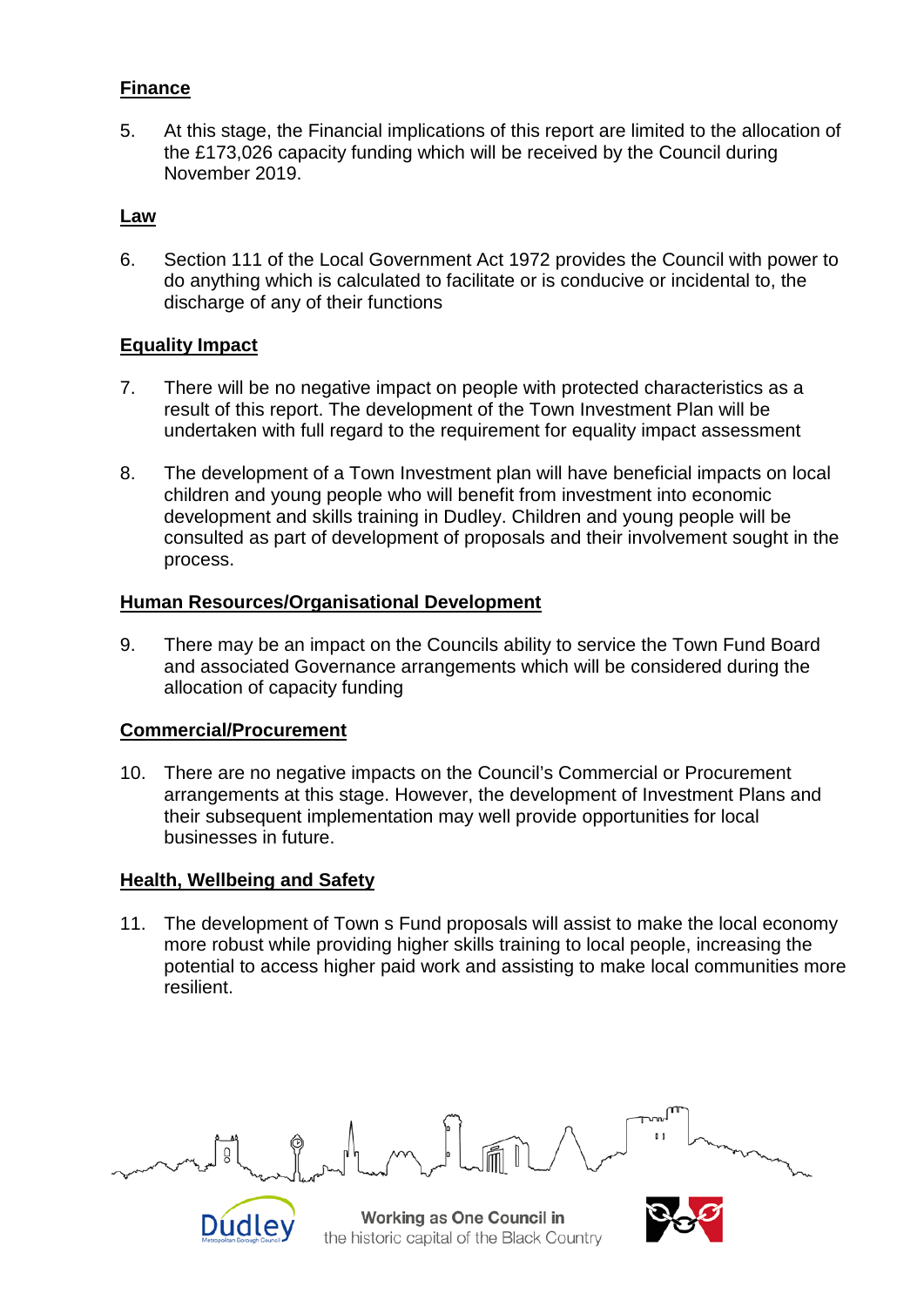#### **Finance**

5. At this stage, the Financial implications of this report are limited to the allocation of the £173,026 capacity funding which will be received by the Council during November 2019.

#### **Law**

6. Section 111 of the Local Government Act 1972 provides the Council with power to do anything which is calculated to facilitate or is conducive or incidental to, the discharge of any of their functions

### **Equality Impact**

- 7. There will be no negative impact on people with protected characteristics as a result of this report. The development of the Town Investment Plan will be undertaken with full regard to the requirement for equality impact assessment
- 8. The development of a Town Investment plan will have beneficial impacts on local children and young people who will benefit from investment into economic development and skills training in Dudley. Children and young people will be consulted as part of development of proposals and their involvement sought in the process.

#### **Human Resources/Organisational Development**

9. There may be an impact on the Councils ability to service the Town Fund Board and associated Governance arrangements which will be considered during the allocation of capacity funding

#### **Commercial/Procurement**

10. There are no negative impacts on the Council's Commercial or Procurement arrangements at this stage. However, the development of Investment Plans and their subsequent implementation may well provide opportunities for local businesses in future.

#### **Health, Wellbeing and Safety**

Dudley

11. The development of Town s Fund proposals will assist to make the local economy more robust while providing higher skills training to local people, increasing the potential to access higher paid work and assisting to make local communities more resilient.